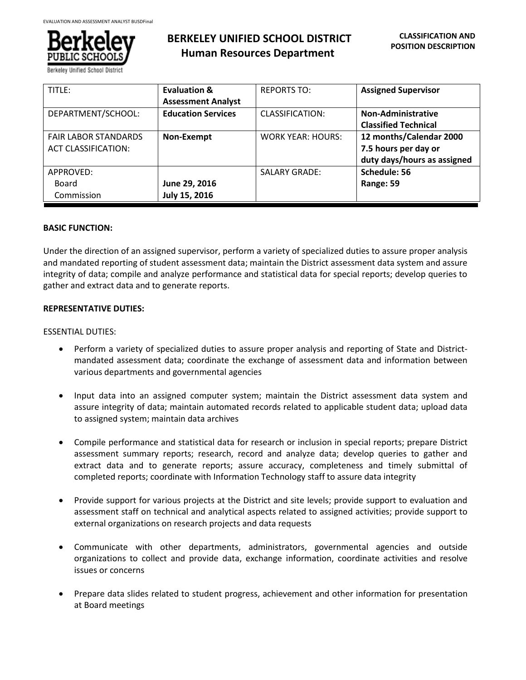

# **BERKELEY UNIFIED SCHOOL DISTRICT Human Resources Department**

| TITLE:                      | <b>Evaluation &amp;</b>   | <b>REPORTS TO:</b>       | <b>Assigned Supervisor</b>  |
|-----------------------------|---------------------------|--------------------------|-----------------------------|
|                             | <b>Assessment Analyst</b> |                          |                             |
| DEPARTMENT/SCHOOL:          | <b>Education Services</b> | CLASSIFICATION:          | Non-Administrative          |
|                             |                           |                          | <b>Classified Technical</b> |
| <b>FAIR LABOR STANDARDS</b> | Non-Exempt                | <b>WORK YEAR: HOURS:</b> | 12 months/Calendar 2000     |
| <b>ACT CLASSIFICATION:</b>  |                           |                          | 7.5 hours per day or        |
|                             |                           |                          | duty days/hours as assigned |
| APPROVED:                   |                           | <b>SALARY GRADE:</b>     | Schedule: 56                |
| Board                       | June 29, 2016             |                          | Range: 59                   |
| Commission                  | July 15, 2016             |                          |                             |

## **BASIC FUNCTION:**

Under the direction of an assigned supervisor, perform a variety of specialized duties to assure proper analysis and mandated reporting of student assessment data; maintain the District assessment data system and assure integrity of data; compile and analyze performance and statistical data for special reports; develop queries to gather and extract data and to generate reports.

## **REPRESENTATIVE DUTIES:**

## ESSENTIAL DUTIES:

- Perform a variety of specialized duties to assure proper analysis and reporting of State and Districtmandated assessment data; coordinate the exchange of assessment data and information between various departments and governmental agencies
- Input data into an assigned computer system; maintain the District assessment data system and assure integrity of data; maintain automated records related to applicable student data; upload data to assigned system; maintain data archives
- Compile performance and statistical data for research or inclusion in special reports; prepare District assessment summary reports; research, record and analyze data; develop queries to gather and extract data and to generate reports; assure accuracy, completeness and timely submittal of completed reports; coordinate with Information Technology staff to assure data integrity
- Provide support for various projects at the District and site levels; provide support to evaluation and assessment staff on technical and analytical aspects related to assigned activities; provide support to external organizations on research projects and data requests
- Communicate with other departments, administrators, governmental agencies and outside organizations to collect and provide data, exchange information, coordinate activities and resolve issues or concerns
- Prepare data slides related to student progress, achievement and other information for presentation at Board meetings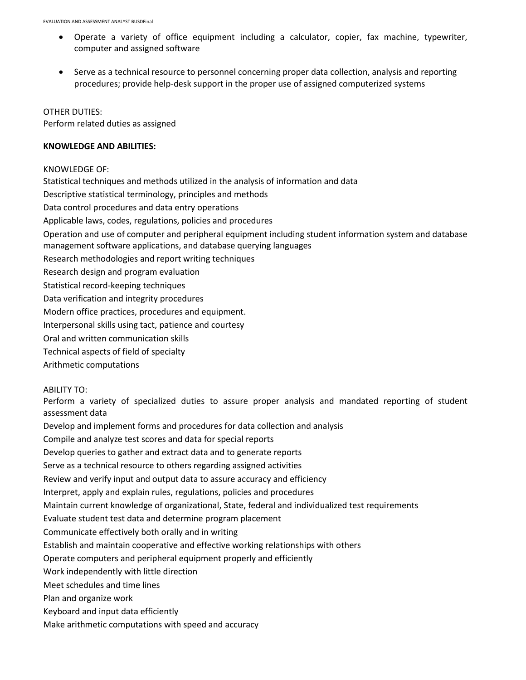- Operate a variety of office equipment including a calculator, copier, fax machine, typewriter, computer and assigned software
- Serve as a technical resource to personnel concerning proper data collection, analysis and reporting procedures; provide help-desk support in the proper use of assigned computerized systems

OTHER DUTIES: Perform related duties as assigned

# **KNOWLEDGE AND ABILITIES:**

KNOWLEDGE OF:

Statistical techniques and methods utilized in the analysis of information and data Descriptive statistical terminology, principles and methods Data control procedures and data entry operations Applicable laws, codes, regulations, policies and procedures Operation and use of computer and peripheral equipment including student information system and database management software applications, and database querying languages Research methodologies and report writing techniques Research design and program evaluation Statistical record-keeping techniques Data verification and integrity procedures Modern office practices, procedures and equipment. Interpersonal skills using tact, patience and courtesy Oral and written communication skills Technical aspects of field of specialty Arithmetic computations

# ABILITY TO:

Perform a variety of specialized duties to assure proper analysis and mandated reporting of student assessment data

Develop and implement forms and procedures for data collection and analysis

Compile and analyze test scores and data for special reports

Develop queries to gather and extract data and to generate reports

Serve as a technical resource to others regarding assigned activities

Review and verify input and output data to assure accuracy and efficiency

Interpret, apply and explain rules, regulations, policies and procedures

Maintain current knowledge of organizational, State, federal and individualized test requirements

Evaluate student test data and determine program placement

Communicate effectively both orally and in writing

Establish and maintain cooperative and effective working relationships with others

Operate computers and peripheral equipment properly and efficiently

Work independently with little direction

Meet schedules and time lines

Plan and organize work

- Keyboard and input data efficiently
- Make arithmetic computations with speed and accuracy